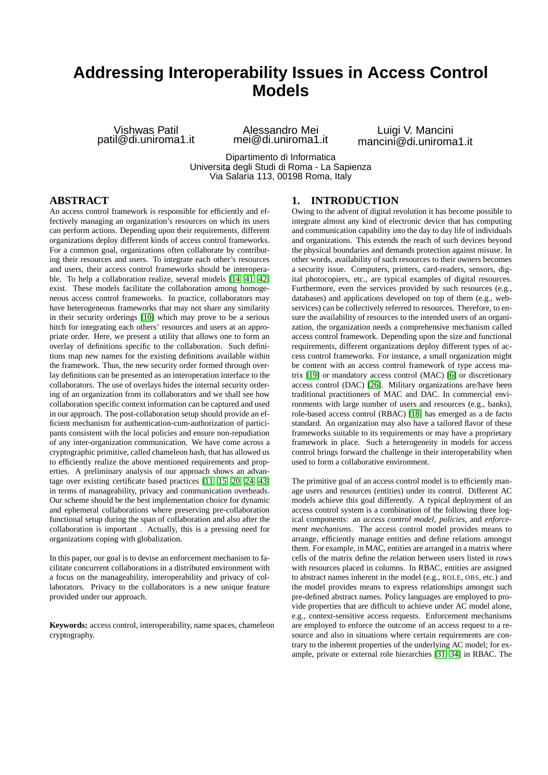# **Addressing Interoperability Issues in Access Control Models**

Vishwas Patil patil@di.uniroma1.it

Alessandro Mei mei@di.uniroma1.it

Luigi V. Mancini mancini@di.uniroma1.it

<span id="page-0-0"></span>Dipartimento di Informatica Universita degli Studi di Roma - La Sapienza " Via Salaria 113, 00198 Roma, Italy

## **ABSTRACT**

An access control framework is responsible for efficiently and effectively managing an organization's resources on which its users can perform actions. Depending upon their requirements, different organizations deploy different kinds of access control frameworks. For a common goal, organizations often collaborate by contributing their resources and users. To integrate each other's resources and users, their access control frameworks should be interoperable. To help a collaboration realize, several models [\[14,](#page-10-0) [41,](#page-11-0) [42\]](#page-11-1) exist. These models facilitate the collaboration among homogeneous access control frameworks. In practice, collaborators may have heterogeneous frameworks that may not share any similarity in their security orderings [\[10\]](#page-10-1) which may prove to be a serious hitch for integrating each others' resources and users at an appropriate order. Here, we present a utility that allows one to form an overlay of definitions specific to the collaboration. Such definitions map new names for the existing definitions available within the framework. Thus, the new security order formed through overlay definitions can be presented as an interoperation interface to the collaborators. The use of overlays hides the internal security ordering of an organization from its collaborators and we shall see how collaboration specific context information can be captured and used in our approach. The post-collaboration setup should provide an efficient mechanism for authentication-cum-authorization of participants consistent with the local policies and ensure non-repudiation of any inter-organization communication. We have come across a cryptographic primitive, called chameleon hash, that has allowed us to efficiently realize the above mentioned requirements and properties. A preliminary analysis of our approach shows an advantage over existing certificate based practices [\[11,](#page-10-2) [15,](#page-10-3) [20,](#page-11-2) [24,](#page-11-3) [43\]](#page-11-4) in terms of manageability, privacy and communication overheads. Our scheme should be the best implementation choice for dynamic and ephemeral collaborations where preserving pre-collaboration functional setup during the span of collaboration and also after the collaboration is important . Actually, this is a pressing need for organizations coping with globalization.

In this paper, our goal is to devise an enforcement mechanism to facilitate concurrent collaborations in a distributed environment with a focus on the manageability, interoperability and privacy of collaborators. Privacy to the collaborators is a new unique feature provided under our approach.

**Keywords:** access control, interoperability, name spaces, chameleon cryptography.

## **1. INTRODUCTION**

Owing to the advent of digital revolution it has become possible to integrate almost any kind of electronic device that has computing and communication capability into the day to day life of individuals and organizations. This extends the reach of such devices beyond the physical boundaries and demands protection against misuse. In other words, availability of such resources to their owners becomes a security issue. Computers, printers, card-readers, sensors, digital photocopiers, etc., are typical examples of digital resources. Furthermore, even the services provided by such resources (e.g., databases) and applications developed on top of them (e.g., webservices) can be collectively referred to resources. Therefore, to ensure the availability of resources to the intended users of an organization, the organization needs a comprehensive mechanism called access control framework. Depending upon the size and functional requirements, different organizations deploy different types of access control frameworks. For instance, a small organization might be content with an access control framework of type access matrix [\[19\]](#page-11-5) or mandatory access control (MAC) [\[6\]](#page-10-4) or discretionary access control (DAC) [\[26\]](#page-11-6). Military organizations are/have been traditional practitioners of MAC and DAC. In commercial environments with large number of users and resources (e.g., banks), role-based access control (RBAC) [\[18\]](#page-11-7) has emerged as a de facto standard. An organization may also have a tailored flavor of these frameworks suitable to its requirements or may have a proprietary framework in place. Such a heterogeneity in models for access control brings forward the challenge in their interoperability when used to form a collaborative environment.

The primitive goal of an access control model is to efficiently manage users and resources (entities) under its control. Different AC models achieve this goal differently. A typical deployment of an access control system is a combination of the following three logical components: an *access control model*, *policies*, and *enforcement mechanisms*. The access control model provides means to arrange, efficiently manage entities and define relations amongst them. For example, in MAC, entities are arranged in a matrix where cells of the matrix define the relation between users listed in rows with resources placed in columns. In RBAC, entities are assigned to abstract names inherent in the model (e.g., ROLE, OBS, etc.) and the model provides means to express relationships amongst such pre-defined abstract names. Policy languages are employed to provide properties that are difficult to achieve under AC model alone, e.g., context-sensitive access requests. Enforcement mechanisms are employed to enforce the outcome of an access request to a resource and also in situations where certain requirements are contrary to the inherent properties of the underlying AC model; for example, private or external role hierarchies [\[31,](#page-11-8) [34\]](#page-11-9) in RBAC. The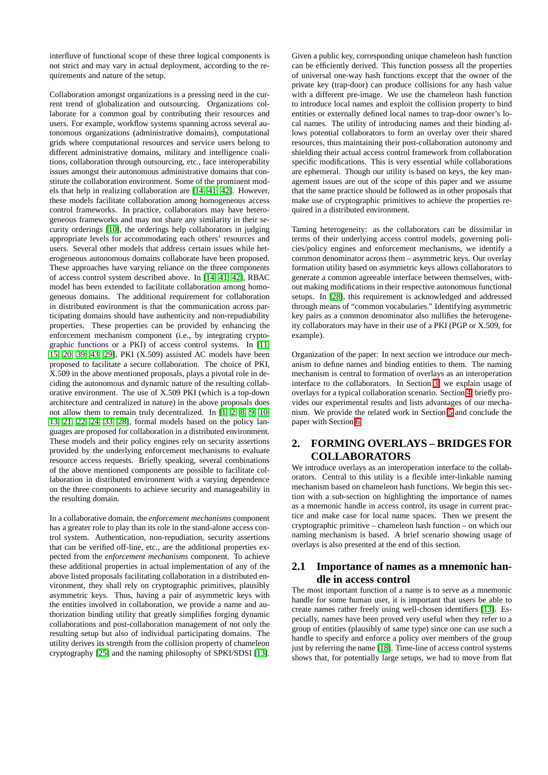interfluve of functional scope of these three logical components is not strict and may vary in actual deployment, according to the requirements and nature of the setup.

Collaboration amongst organizations is a pressing need in the current trend of globalization and outsourcing. Organizations collaborate for a common goal by contributing their resources and users. For example, workflow systems spanning across several autonomous organizations (administrative domains), computational grids where computational resources and service users belong to different administrative domains, military and intelligence coalitions, collaboration through outsourcing, etc., face interoperability issues amongst their autonomous administrative domains that constitute the collaboration environment. Some of the prominent models that help in realizing collaboration are [\[14,](#page-10-0) [41,](#page-11-0) [42\]](#page-11-1). However, these models facilitate collaboration among homogeneous access control frameworks. In practice, collaborators may have heterogeneous frameworks and may not share any similarity in their security orderings [\[10\]](#page-10-1), the orderings help collaborators in judging appropriate levels for accommodating each others' resources and users. Several other models that address certain issues while heterogeneous autonomous domains collaborate have been proposed. These approaches have varying reliance on the three components of access control system described above. In [\[14,](#page-10-0) [41,](#page-11-0) [42\]](#page-11-1), RBAC model has been extended to facilitate collaboration among homogeneous domains. The additional requirement for collaboration in distributed environment is that the communication across participating domains should have authenticity and non-repudiability properties. These properties can be provided by enhancing the enforcement mechanism component (i.e., by integrating cryptographic functions or a PKI) of access control systems. In [\[11,](#page-10-2) [15,](#page-10-3) [20,](#page-11-2) [39,](#page-11-10) [43,](#page-11-4) [29\]](#page-11-11), PKI (X.509) assisted AC models have been proposed to facilitate a secure collaboration. The choice of PKI, X.509 in the above mentioned proposals, plays a pivotal role in deciding the autonomous and dynamic nature of the resulting collaborative environment. The use of X.509 PKI (which is a top-down architecture and centralized in nature) in the above proposals does not allow them to remain truly decentralized. In [\[1,](#page-10-5) [2,](#page-10-6) [8,](#page-10-7) [9,](#page-10-8) [10,](#page-10-1) [13,](#page-10-9) [21,](#page-11-12) [22,](#page-11-13) [24,](#page-11-3) [33,](#page-11-14) [28\]](#page-11-15), formal models based on the policy languages are proposed for collaboration in a distributed environment. These models and their policy engines rely on security assertions provided by the underlying enforcement mechanisms to evaluate resource access requests. Briefly speaking, several combinations of the above mentioned components are possible to facilitate collaboration in distributed environment with a varying dependence on the three components to achieve security and manageability in the resulting domain.

In a collaborative domain, the *enforcement mechanisms* component has a greater role to play than its role in the stand-alone access control system. Authentication, non-repudiation, security assertions that can be verified off-line, etc., are the additional properties expected from the *enforcement mechanisms* component. To achieve these additional properties in actual implementation of any of the above listed proposals facilitating collaboration in a distributed environment, they shall rely on cryptographic primitives, plausibly asymmetric keys. Thus, having a pair of asymmetric keys with the entities involved in collaboration, we provide a name and authorization binding utility that greatly simplifies forging dynamic collaborations and post-collaboration management of not only the resulting setup but also of individual participating domains. The utility derives its strength from the collision property of chameleon cryptography [\[25\]](#page-11-16) and the naming philosophy of SPKI/SDSI [\[13\]](#page-10-9).

Given a public key, corresponding unique chameleon hash function can be efficiently derived. This function possess all the properties of universal one-way hash functions except that the owner of the private key (trap-door) can produce collisions for any hash value with a different pre-image. We use the chameleon hash function to introduce local names and exploit the collision property to bind entities or externally defined local names to trap-door owner's local names. The utility of introducing names and their binding allows potential collaborators to form an overlay over their shared resources, thus maintaining their post-collaboration autonomy and shielding their actual access control framework from collaboration specific modifications. This is very essential while collaborations are ephemeral. Though our utility is based on keys, the key management issues are out of the scope of this paper and we assume that the same practice should be followed as in other proposals that make use of cryptographic primitives to achieve the properties required in a distributed environment.

Taming heterogeneity: as the collaborators can be dissimilar in terms of their underlying access control models, governing policies/policy engines and enforcement mechanisms, we identify a common denominator across them – asymmetric keys. Our overlay formation utility based on asymmetric keys allows collaborators to generate a common agreeable interface between themselves, without making modifications in their respective autonomous functional setups. In [\[28\]](#page-11-15), this requirement is acknowledged and addressed through means of "common vocabularies." Identifying asymmetric key pairs as a common denominator also nullifies the heterogeneity collaborators may have in their use of a PKI (PGP or X.509, for example).

Organization of the paper: In next section we introduce our mechanism to define names and binding entities to them. The naming mechanism is central to formation of overlays as an interoperation interface to the collaborators. In Section [3,](#page-6-0) we explain usage of overlays for a typical collaboration scenario. Section [4,](#page-6-1) briefly provides our experimental results and lists advantages of our mechanism. We provide the related work in Section [5](#page-9-0) and conclude the paper with Section [6.](#page-10-10)

## **2. FORMING OVERLAYS – BRIDGES FOR COLLABORATORS**

We introduce overlays as an interoperation interface to the collaborators. Central to this utility is a flexible inter-linkable naming mechanism based on chameleon hash functions. We begin this section with a sub-section on highlighting the importance of names as a mnemonic handle in access control, its usage in current practice and make case for local name spaces. Then we present the cryptographic primitive – chameleon hash function – on which our naming mechanism is based. A brief scenario showing usage of overlays is also presented at the end of this section.

## **2.1 Importance of names as a mnemonic handle in access control**

The most important function of a name is to serve as a mnemonic handle for some human user, it is important that users be able to create names rather freely using well-chosen identifiers [\[13\]](#page-10-9). Especially, names have been proved very useful when they refer to a group of entities (plausibly of same type) since one can use such a handle to specify and enforce a policy over members of the group just by referring the name [\[18\]](#page-11-7). Time-line of access control systems shows that, for potentially large setups, we had to move from flat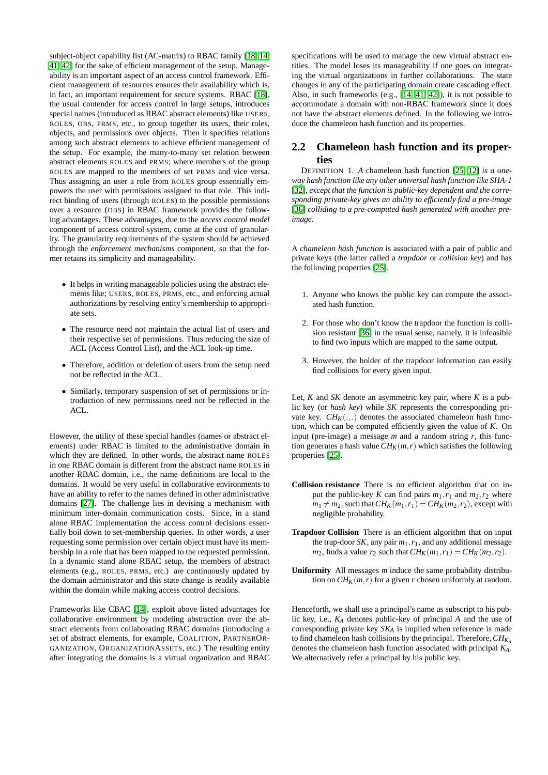subject-object capability list (AC-matrix) to RBAC family [\[18,](#page-11-7) [14,](#page-10-0) [41,](#page-11-0) [42\]](#page-11-1) for the sake of efficient management of the setup. Manageability is an important aspect of an access control framework. Efficient management of resources ensures their availability which is, in fact, an important requirement for secure systems. RBAC [\[18\]](#page-11-7), the usual contender for access control in large setups, introduces special names (introduced as RBAC abstract elements) like USERS, ROLES, OBS, PRMS, etc., to group together its users, their roles, objects, and permissions over objects. Then it specifies relations among such abstract elements to achieve efficient management of the setup. For example, the many-to-many set relation between abstract elements ROLES and PRMS; where members of the group ROLES are mapped to the members of set PRMS and vice versa. Thus assigning an user a role from ROLES group essentially empowers the user with permissions assigned to that role. This indirect binding of users (through ROLES) to the possible permissions over a resource (OBS) in RBAC framework provides the following advantages. These advantages, due to the *access control model* component of access control system, come at the cost of granularity. The granularity requirements of the system should be achieved through the *enforcement mechanisms* component, so that the former retains its simplicity and manageability.

- It helps in writing manageable policies using the abstract elements like; USERS, ROLES, PRMS, etc., and enforcing actual authorizations by resolving entity's membership to appropriate sets.
- The resource need not maintain the actual list of users and their respective set of permissions. Thus reducing the size of ACL (Access Control List), and the ACL look-up time.
- Therefore, addition or deletion of users from the setup need not be reflected in the ACL.
- Similarly, temporary suspension of set of permissions or introduction of new permissions need not be reflected in the ACL.

However, the utility of these special handles (names or abstract elements) under RBAC is limited to the administrative domain in which they are defined. In other words, the abstract name ROLES in one RBAC domain is different from the abstract name ROLES in another RBAC domain, i.e., the name definitions are local to the domains. It would be very useful in collaborative environments to have an ability to refer to the names defined in other administrative domains [\[27\]](#page-11-17). The challenge lies in devising a mechanism with minimum inter-domain communication costs. Since, in a stand alone RBAC implementation the access control decisions essentially boil down to set-membership queries. In other words, a user requesting some permission over certain object must have its membership in a role that has been mapped to the requested permission. In a dynamic stand alone RBAC setup, the members of abstract elements (e.g., ROLES, PRMS, etc.) are continuously updated by the domain administrator and this state change is readily available within the domain while making access control decisions.

Frameworks like CBAC [\[14\]](#page-10-0), exploit above listed advantages for collaborative environment by modeling abstraction over the abstract elements from collaborating RBAC domains (introducing a set of abstract elements, for example, COALITION, PARTNEROR-GANIZATION, ORGANIZATIONASSETS, etc.) The resulting entity after integrating the domains is a virtual organization and RBAC

specifications will be used to manage the new virtual abstract entities. The model loses its manageability if one goes on integrating the virtual organizations in further collaborations. The state changes in any of the participating domain create cascading effect. Also, in such frameworks (e.g., [\[14,](#page-10-0) [41,](#page-11-0) [42\]](#page-11-1)), it is not possible to accommodate a domain with non-RBAC framework since it does not have the abstract elements defined. In the following we introduce the chameleon hash function and its properties.

# **2.2 Chameleon hash function and its properties**

DEFINITION 1. *A* chameleon hash function [\[25,](#page-11-16) [12\]](#page-10-11) *is a oneway hash function like any other universal hash function like SHA-1* [\[32\]](#page-11-18), except that the function is public-key dependent and the corre*sponding private-key gives an ability to efficiently find a pre-image* [\[36\]](#page-11-19) *colliding to a pre-computed hash generated with another preimage.*

A *chameleon hash function* is associated with a pair of public and private keys (the latter called a *trapdoor* or *collision key*) and has the following properties [\[25\]](#page-11-16).

- 1. Anyone who knows the public key can compute the associated hash function.
- 2. For those who don't know the trapdoor the function is collision resistant [\[36\]](#page-11-19) in the usual sense, namely, it is infeasible to find two inputs which are mapped to the same output.
- 3. However, the holder of the trapdoor information can easily find collisions for every given input.

Let,  $K$  and  $SK$  denote an asymmetric key pair, where  $K$  is a public key (or *hash key*) while *SK* represents the corresponding private key.  $CH_K(.,.)$  denotes the associated chameleon hash function, which can be computed efficiently given the value of *K*. On input (pre-image) a message *m* and a random string *r*, this function generates a hash value  $CH_K(m, r)$  which satisfies the following properties [\[25\]](#page-11-16).

- **Collision resistance** There is no efficient algorithm that on input the public-key *K* can find pairs  $m_1, r_1$  and  $m_2, r_2$  where  $m_1 \neq m_2$ , such that  $CH_K(m_1, r_1) = CH_K(m_2, r_2)$ , except with negligible probability.
- **Trapdoor Collision** There is an efficient algorithm that on input the trap-door *SK*, any pair  $m_1, r_1$ , and any additional message *m*<sub>2</sub>, finds a value  $r_2$  such that  $CH_K(m_1, r_1) = CH_K(m_2, r_2)$ .
- **Uniformity** All messages *m* induce the same probability distribution on  $CH_K(m,r)$  for a given *r* chosen uniformly at random.

<span id="page-2-0"></span>Henceforth, we shall use a principal's name as subscript to his public key, i.e., *K<sup>A</sup>* denotes public-key of principal *A* and the use of corresponding private key *SK<sup>A</sup>* is implied when reference is made to find chameleon hash collisions by the principal. Therefore,*CHK<sup>A</sup>* denotes the chameleon hash function associated with principal *KA*. We alternatively refer a principal by his public key.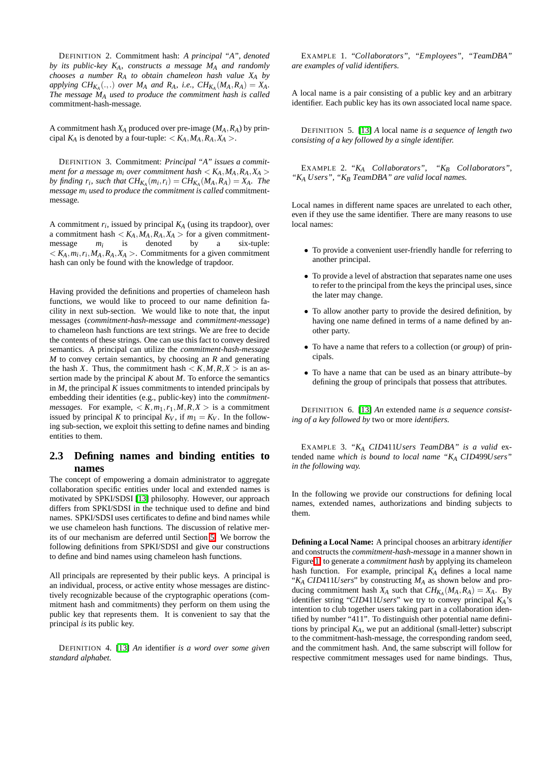DEFINITION 2. Commitment hash: *A principal "A", denoted by its public-key KA, constructs a message M<sup>A</sup> and randomly chooses a number R<sup>A</sup> to obtain chameleon hash value X<sup>A</sup> by applying*  $CH_{K_A}(.,.)$  *over*  $M_A$  *and*  $R_A$ *, i.e.,*  $CH_{K_A}(M_A, R_A) = X_A$ *. The message M<sup>A</sup> used to produce the commitment hash is called* commitment-hash-message*.*

A commitment hash  $X_A$  produced over pre-image  $(M_A, R_A)$  by principal  $K_A$  is denoted by a four-tuple:  $K_A, M_A, R_A, X_A >$ .

DEFINITION 3. Commitment: *Principal "A" issues a commitment for a message m<sub>i</sub> over commitment hash*  $\lt K_A, M_A, R_A, X_A >$ *by finding*  $r_i$ *, such that*  $CH_{K_A}(m_i, r_i) = CH_{K_A}(M_A, R_A) = X_A$ *. The message m<sup>i</sup> used to produce the commitment is called* commitmentmessage*.*

A commitment  $r_i$ , issued by principal  $K_A$  (using its trapdoor), over a commitment hash  $\langle K_A, M_A, R_A, X_A \rangle$  for a given commitment-<br>message  $m_i$  is denoted by a six-tuple: message *m<sup>i</sup>* is denoted by a  $K < K_A, m_i, r_i, M_A, R_A, X_A >$ . Commitments for a given commitment hash can only be found with the knowledge of trapdoor.

Having provided the definitions and properties of chameleon hash functions, we would like to proceed to our name definition facility in next sub-section. We would like to note that, the input messages (*commitment-hash-message* and *commitment-message*) to chameleon hash functions are text strings. We are free to decide the contents of these strings. One can use this fact to convey desired semantics. A principal can utilize the *commitment-hash-message M* to convey certain semantics, by choosing an *R* and generating the hash *X*. Thus, the commitment hash  $\langle K, M, R, X \rangle$  is an assertion made by the principal *K* about *M*. To enforce the semantics in  $M$ , the principal  $K$  issues commitments to intended principals by embedding their identities (e.g., public-key) into the *commitmentmessages*. For example,  $\langle K,m_1,r_1,M,R,X\rangle$  is a commitment issued by principal *K* to principal  $K_V$ , if  $m_1 = K_V$ . In the following sub-section, we exploit this setting to define names and binding entities to them.

## **2.3 Defining names and binding entities to names**

The concept of empowering a domain administrator to aggregate collaboration specific entities under local and extended names is motivated by SPKI/SDSI [\[13\]](#page-10-9) philosophy. However, our approach differs from SPKI/SDSI in the technique used to define and bind names. SPKI/SDSI uses certificates to define and bind names while we use chameleon hash functions. The discussion of relative merits of our mechanism are deferred until Section [5.](#page-9-0) We borrow the following definitions from SPKI/SDSI and give our constructions to define and bind names using chameleon hash functions.

All principals are represented by their public keys. A principal is an individual, process, or active entity whose messages are distinctively recognizable because of the cryptographic operations (commitment hash and commitments) they perform on them using the public key that represents them. It is convenient to say that the principal *is* its public key.

DEFINITION 4. [\[13\]](#page-10-9) *An* identifier *is a word over some given standard alphabet.*

EXAMPLE 1. *"Collaborators", "Employees", "TeamDBA" are examples of valid identifiers.*

A local name is a pair consisting of a public key and an arbitrary identifier. Each public key has its own associated local name space.

DEFINITION 5. [\[13\]](#page-10-9) *A* local name *is a sequence of length two consisting of a key followed by a single identifier.*

EXAMPLE 2. *"K<sup>A</sup> Collaborators", "K<sup>B</sup> Collaborators", "K<sup>A</sup> Users", "K<sup>B</sup> TeamDBA" are valid local names.*

Local names in different name spaces are unrelated to each other, even if they use the same identifier. There are many reasons to use local names:

- To provide a convenient user-friendly handle for referring to another principal.
- To provide a level of abstraction that separates name one uses to refer to the principal from the keys the principal uses, since the later may change.
- To allow another party to provide the desired definition, by having one name defined in terms of a name defined by another party.
- To have a name that refers to a collection (or *group*) of principals.
- To have a name that can be used as an binary attribute–by defining the group of principals that possess that attributes.

DEFINITION 6. [\[13\]](#page-10-9) *An* extended name *is a sequence consisting of a key followed by* two or more *identifiers.*

EXAMPLE 3. *"K<sup>A</sup> CID*411*Users TeamDBA" is a valid* extended name *which is bound to local name "K<sup>A</sup> CID*499*Users" in the following way.*

In the following we provide our constructions for defining local names, extended names, authorizations and binding subjects to them.

**Defining a Local Name:** A principal chooses an arbitrary *identifier* and constructs the *commitment-hash-message* in a manner shown in Figure [1,](#page-5-0) to generate a *commitment hash* by applying its chameleon hash function. For example, principal *K<sup>A</sup>* defines a local name " $K_A$  *CID411U sers*" by constructing  $M_A$  as shown below and producing commitment hash  $X_A$  such that  $CH_{K_A}(M_A, R_A) = X_A$ . By identifier string "*CID411Users*" we try to convey principal  $K_A$ 's intention to club together users taking part in a collaboration identified by number "411". To distinguish other potential name definitions by principal *KA*, we put an additional (small-letter) subscript to the commitment-hash-message, the corresponding random seed, and the commitment hash. And, the same subscript will follow for respective commitment messages used for name bindings. Thus,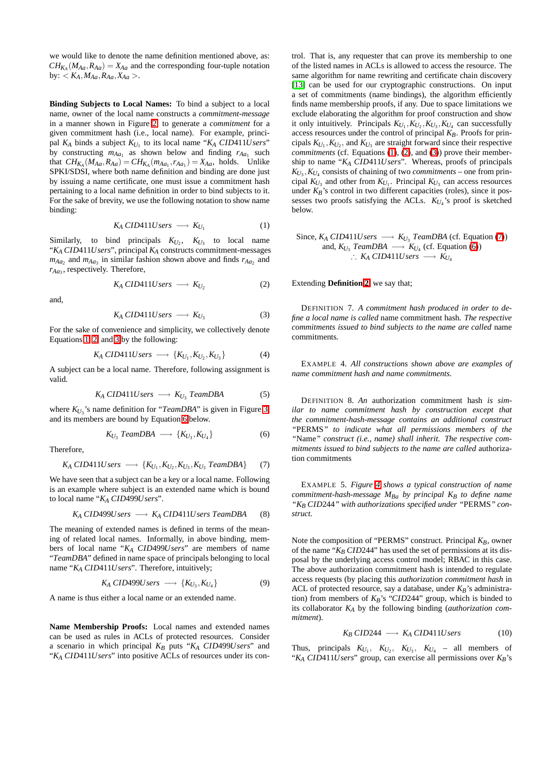we would like to denote the name definition mentioned above, as:  $CH_{K_A}(M_{Aa}, R_{Aa}) = X_{Aa}$  and the corresponding four-tuple notation by:  $K_A$ ,  $M_{Aa}$ ,  $R_{Aa}$ ,  $X_{Aa}$ .

**Binding Subjects to Local Names:** To bind a subject to a local name, owner of the local name constructs a *commitment-message* in a manner shown in Figure [2,](#page-5-1) to generate a *commitment* for a given commitment hash (i.e., local name). For example, principal  $K_A$  binds a subject  $K_{U_1}$  to its local name " $K_A$   $CID411U$ sers" by constructing  $m_{Aa_1}$  as shown below and finding  $r_{Aa_1}$  such that  $CH_{K_A}(M_{Aa}, R_{Aa}) = CH_{K_A}(m_{Aa_1}, r_{Aa_1}) = X_{Aa}$ , holds. Unlike SPKI/SDSI, where both name definition and binding are done just by issuing a name certificate, one must issue a commitment hash pertaining to a local name definition in order to bind subjects to it. For the sake of brevity, we use the following notation to show name binding:

$$
K_A\,\text{CID411} \,\text{Users} \longrightarrow K_{U_1} \tag{1}
$$

<span id="page-4-0"></span>Similarly, to bind principals  $K_{U_2}$ ,  $K_{U_3}$  to local name "*K<sup>A</sup> CID*411*Users*", principal *K<sup>A</sup>* constructs commitment-messages  $m_{Aa_2}$  and  $m_{Aa_3}$  in similar fashion shown above and finds  $r_{Aa_2}$  and *rAa*<sup>3</sup> , respectively. Therefore,

$$
K_A\,\text{CID411} \,\text{Users} \longrightarrow K_{U_2} \tag{2}
$$

<span id="page-4-2"></span><span id="page-4-1"></span>and,

$$
K_A\,\text{CID411} \,\text{Users} \longrightarrow K_{U_3} \tag{3}
$$

<span id="page-4-5"></span>For the sake of convenience and simplicity, we collectively denote Equations [1,](#page-4-0) [2,](#page-4-1) and [3](#page-4-2) by the following:

$$
K_A\,\text{CID411}Users \longrightarrow \{K_{U_1}, K_{U_2}, K_{U_3}\}\tag{4}
$$

<span id="page-4-6"></span>A subject can be a local name. Therefore, following assignment is valid.

$$
K_A\,\text{CID411}Users \longrightarrow K_{U_3}\,\text{TeamDBA}\tag{5}
$$

<span id="page-4-3"></span>where  $K_{U_3}$ 's name definition for "*TeamDBA*" is given in Figure [3,](#page-5-2) and its members are bound by Equation [6](#page-4-3) below.

$$
K_{U_3} \text{ Team} DBA \longrightarrow \{K_{U_3}, K_{U_4}\} \tag{6}
$$

<span id="page-4-4"></span>Therefore,

$$
K_A\,\text{CID411} \text{Users} \longrightarrow \{K_{U_1}, K_{U_2}, K_{U_3}, K_{U_3} \text{ Team} \text{DBA}\} \tag{7}
$$

We have seen that a subject can be a key or a local name. Following is an example where subject is an extended name which is bound to local name "*K<sup>A</sup> CID*499*Users*".

$$
K_A\,\text{CID499} \,\text{Users} \longrightarrow K_A\,\text{CID411} \,\text{Users} \,\text{Team} \,\text{DBA} \tag{8}
$$

The meaning of extended names is defined in terms of the meaning of related local names. Informally, in above binding, members of local name "*K<sup>A</sup> CID*499*Users*" are members of name "*TeamDBA*" defined in name space of principals belonging to local name "*K<sup>A</sup> CID*411*Users*". Therefore, intuitively;

$$
K_A\,\text{CID499} \,\text{Users} \,\longrightarrow\,\{K_{U_3}, K_{U_4}\}\tag{9}
$$

A name is thus either a local name or an extended name.

**Name Membership Proofs:** Local names and extended names can be used as rules in ACLs of protected resources. Consider a scenario in which principal *K<sup>B</sup>* puts "*K<sup>A</sup> CID*499*Users*" and "*K<sup>A</sup> CID*411*Users*" into positive ACLs of resources under its con-

trol. That is, any requester that can prove its membership to one of the listed names in ACLs is allowed to access the resource. The same algorithm for name rewriting and certificate chain discovery [\[13\]](#page-10-9) can be used for our cryptographic constructions. On input a set of commitments (name bindings), the algorithm efficiently finds name membership proofs, if any. Due to space limitations we exclude elaborating the algorithm for proof construction and show it only intuitively. Principals  $K_{U_1}, K_{U_2}, K_{U_3}, K_{U_4}$  can successfully access resources under the control of principal *KB*. Proofs for principals  $K_{U_1}, K_{U_2}$ , and  $K_{U_3}$  are straight forward since their respective *commitments* (cf. Equations [\(1\)](#page-4-0), [\(2\)](#page-4-1), and [\(3\)](#page-4-2)) prove their membership to name "*K<sup>A</sup> CID*411*Users*". Whereas, proofs of principals  $K_{U_3}$ ,  $K_{U_4}$  consists of chaining of two *commitments* – one from principal  $K_{U_3}$  and other from  $K_{U_1}$ . Principal  $K_{U_3}$  can access resources under  $K_B$ 's control in two different capacities (roles), since it possesses two proofs satisfying the ACLs. *KU*<sup>4</sup> 's proof is sketched below.

Since,  $K_A$  *CID411Users*  $\longrightarrow K_{U_3}$  *TeamDBA* (cf. Equation [\(7\)](#page-4-4)) and,  $K_{U_3}$  *TeamDBA*  $\longrightarrow K_{U_4}$  (cf. Equation [\(6\)](#page-4-3)) ∴  $K_A$  CID411*Users*  $\longrightarrow$   $K_{U_4}$ 

Extending **Definition [2](#page-2-0)**, we say that;

DEFINITION 7. *A commitment hash produced in order to define a local name is called* name commitment hash*. The respective commitments issued to bind subjects to the name are called* name commitments*.*

EXAMPLE 4. *All constructions shown above are examples of name commitment hash and name commitments.*

DEFINITION 8. *An* authorization commitment hash *is similar to name commitment hash by construction except that the commitment-hash-message contains an additional construct "*PERMS*" to indicate what all permissions members of the "*Name*" construct (i.e., name) shall inherit. The respective commitments issued to bind subjects to the name are called* authorization commitments

EXAMPLE 5. *Figure [4](#page-5-3) shows a typical construction of name commitment-hash-message MBa by principal KB to define name "K<sup>B</sup> CID*244*" with authorizations specified under "*PERMS*" construct.*

Note the composition of "PERMS" construct. Principal *KB*, owner of the name " $K_B$  *CID244"* has used the set of permissions at its disposal by the underlying access control model; RBAC in this case. The above authorization commitment hash is intended to regulate access requests (by placing this *authorization commitment hash* in ACL of protected resource, say a database, under *KB*'s administration) from members of *KB*'s "*CID*244" group, which is binded to its collaborator *K<sup>A</sup>* by the following binding (*authorization commitment*).

$$
K_B\ ClD244 \longrightarrow K_A\ ClD411Users \tag{10}
$$

Thus, principals  $K_{U_1}$ ,  $K_{U_2}$ ,  $K_{U_3}$ ,  $K_{U_4}$  – all members of "*K<sup>A</sup> CID*411*Users*" group, can exercise all permissions over *KB*'s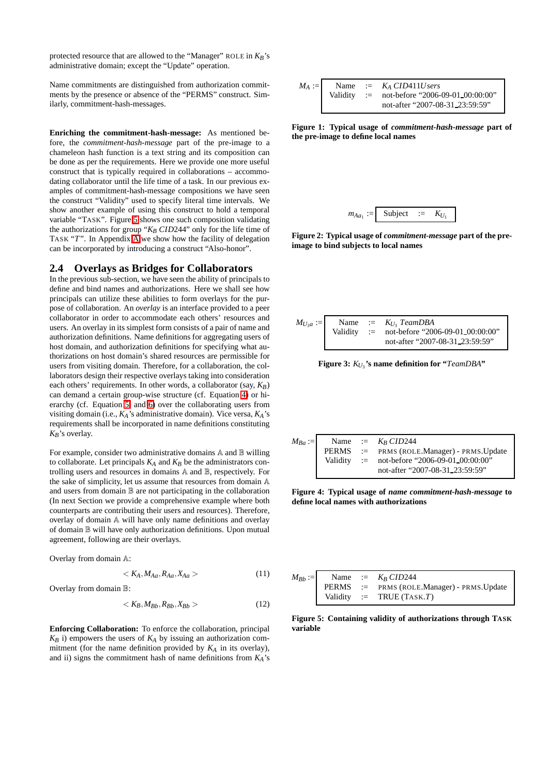protected resource that are allowed to the "Manager" ROLE in *KB*'s administrative domain; except the "Update" operation.

Name commitments are distinguished from authorization commitments by the presence or absence of the "PERMS" construct. Similarly, commitment-hash-messages.

**Enriching the commitment-hash-message:** As mentioned before, the *commitment-hash-message* part of the pre-image to a chameleon hash function is a text string and its composition can be done as per the requirements. Here we provide one more useful construct that is typically required in collaborations – accommodating collaborator until the life time of a task. In our previous examples of commitment-hash-message compositions we have seen the construct "Validity" used to specify literal time intervals. We show another example of using this construct to hold a temporal variable "TASK". Figure [5](#page-5-4) shows one such composition validating the authorizations for group " $K_B$  *CID*244" only for the life time of TASK "*T*". In Appendix [A](#page-12-0) we show how the facility of delegation can be incorporated by introducing a construct "Also-honor".

#### **2.4 Overlays as Bridges for Collaborators**

In the previous sub-section, we have seen the ability of principals to define and bind names and authorizations. Here we shall see how principals can utilize these abilities to form overlays for the purpose of collaboration. An *overlay* is an interface provided to a peer collaborator in order to accommodate each others' resources and users. An overlay in its simplest form consists of a pair of name and authorization definitions. Name definitions for aggregating users of host domain, and authorization definitions for specifying what authorizations on host domain's shared resources are permissible for users from visiting domain. Therefore, for a collaboration, the collaborators design their respective overlays taking into consideration each others' requirements. In other words, a collaborator (say,  $K_B$ ) can demand a certain group-wise structure (cf. Equation [4\)](#page-4-5) or hierarchy (cf. Equation [5,](#page-4-6) and [6\)](#page-4-3) over the collaborating users from visiting domain (i.e., *KA*'s administrative domain). Vice versa, *KA*'s requirements shall be incorporated in name definitions constituting *KB*'s overlay.

For example, consider two administrative domains A and B willing to collaborate. Let principals  $K_A$  and  $K_B$  be the administrators controlling users and resources in domains A and B, respectively. For the sake of simplicity, let us assume that resources from domain A and users from domain B are not participating in the collaboration (In next Section we provide a comprehensive example where both counterparts are contributing their users and resources). Therefore, overlay of domain A will have only name definitions and overlay of domain B will have only authorization definitions. Upon mutual agreement, following are their overlays.

Overlay from domain A:

$$
\langle K_A, M_{Aa}, R_{Aa}, X_{Aa} \rangle \tag{11}
$$

Overlay from domain B:

$$
\langle K_B, M_{Bb}, R_{Bb}, X_{Bb} \rangle \tag{12}
$$

**Enforcing Collaboration:** To enforce the collaboration, principal  $K_B$  i) empowers the users of  $K_A$  by issuing an authorization commitment (for the name definition provided by  $K_A$  in its overlay), and ii) signs the commitment hash of name definitions from *KA*'s

$$
M_A := \n\begin{array}{rcl}\n\text{Name} & := & K_A \, CID411U \, \text{sers} \\
\text{Validity} & := & \text{not-before "2006-09-01\_00:00:00"} \\
\text{not-after "2007-08-31\_23:59:59"}\n\end{array}
$$

<span id="page-5-0"></span>**Figure 1: Typical usage of** *commitment-hash-message* **part of the pre-image to define local names**



<span id="page-5-1"></span>**Figure 2: Typical usage of** *commitment-message* **part of the preimage to bind subjects to local names**



<span id="page-5-2"></span>**Figure 3:** *KU*<sup>3</sup> **'s name definition for "***TeamDBA***"**

| $M_{Ba}$ := |  | Name := $K_R CID244$                         |
|-------------|--|----------------------------------------------|
|             |  | PERMS := PRMS (ROLE.Manager) - PRMS.Update   |
|             |  | Validity := not-before "2006-09-01_00:00:00" |
|             |  | not-after "2007-08-31_23:59:59"              |
|             |  |                                              |

<span id="page-5-3"></span>**Figure 4: Typical usage of** *name commitment-hash-message* **to define local names with authorizations**

|  | $M_{Bb} :=$ Name := $K_B CID244$           |
|--|--------------------------------------------|
|  | PERMS := PRMS (ROLE.Manager) - PRMS.Update |
|  | Validity := TRUE (TASK.T)                  |

<span id="page-5-4"></span>**Figure 5: Containing validity of authorizations through TASK variable**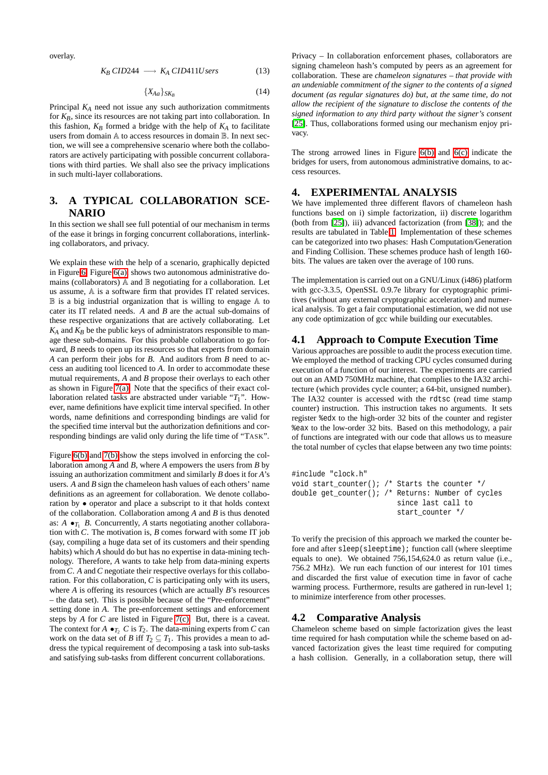overlay.

$$
K_B\ CID244 \longrightarrow K_A\ CID411Users \qquad (13)
$$

$$
\{X_{Aa}\}_{SK_B} \tag{14}
$$

Principal *K<sup>A</sup>* need not issue any such authorization commitments for *KB*, since its resources are not taking part into collaboration. In this fashion,  $K_B$  formed a bridge with the help of  $K_A$  to facilitate users from domain A to access resources in domain B. In next section, we will see a comprehensive scenario where both the collaborators are actively participating with possible concurrent collaborations with third parties. We shall also see the privacy implications in such multi-layer collaborations.

## <span id="page-6-0"></span>**3. A TYPICAL COLLABORATION SCE-NARIO**

In this section we shall see full potential of our mechanism in terms of the ease it brings in forging concurrent collaborations, interlinking collaborators, and privacy.

We explain these with the help of a scenario, graphically depicted in Figure [6.](#page-7-0) Figure [6\(a\),](#page-7-1) shows two autonomous administrative domains (collaborators) A and B negotiating for a collaboration. Let us assume, A is a software firm that provides IT related services.  $\mathbb B$  is a big industrial organization that is willing to engage  $\mathbb A$  to cater its IT related needs. *A* and *B* are the actual sub-domains of these respective organizations that are actively collaborating. Let  $K_A$  and  $K_B$  be the public keys of administrators responsible to manage these sub-domains. For this probable collaboration to go forward, *B* needs to open up its resources so that experts from domain *A* can perform their jobs for *B*. And auditors from *B* need to access an auditing tool licenced to *A*. In order to accommodate these mutual requirements, *A* and *B* propose their overlays to each other as shown in Figure [7\(a\).](#page-8-0) Note that the specifics of their exact collaboration related tasks are abstracted under variable "*T*1". However, name definitions have explicit time interval specified. In other words, name definitions and corresponding bindings are valid for the specified time interval but the authorization definitions and corresponding bindings are valid only during the life time of "TASK".

Figure [6\(b\)](#page-7-2) and [7\(b\)](#page-8-1) show the steps involved in enforcing the collaboration among *A* and *B*, where *A* empowers the users from *B* by issuing an authorization commitment and similarly *B* does it for *A*'s users. *A* and *B* sign the chameleon hash values of each others' name definitions as an agreement for collaboration. We denote collaboration by • operator and place a subscript to it that holds context of the collaboration. Collaboration among *A* and *B* is thus denoted as:  $A \bullet_{T_1} B$ . Concurrently,  $A$  starts negotiating another collaboration with *C*. The motivation is, *B* comes forward with some IT job (say, compiling a huge data set of its customers and their spending habits) which *A* should do but has no expertise in data-mining technology. Therefore, *A* wants to take help from data-mining experts from *C*. *A* and *C* negotiate their respective overlays for this collaboration. For this collaboration, *C* is participating only with its users, where *A* is offering its resources (which are actually *B*'s resources – the data set). This is possible because of the "Pre-enforcement" setting done in *A*. The pre-enforcement settings and enforcement steps by *A* for *C* are listed in Figure [7\(c\).](#page-8-2) But, there is a caveat. The context for  $A \bullet_{T_2} C$  is  $T_2$ . The data-mining experts from  $C$  can work on the data set of *B* iff  $T_2 \subseteq T_1$ . This provides a mean to address the typical requirement of decomposing a task into sub-tasks and satisfying sub-tasks from different concurrent collaborations.

Privacy – In collaboration enforcement phases, collaborators are signing chameleon hash's computed by peers as an agreement for collaboration. These are *chameleon signatures – that provide with an undeniable commitment of the signer to the contents of a signed document (as regular signatures do) but, at the same time, do not allow the recipient of the signature to disclose the contents of the signed information to any third party without the signer's consent* [\[25\]](#page-11-16). Thus, collaborations formed using our mechanism enjoy privacy.

The strong arrowed lines in Figure [6\(b\)](#page-7-2) and [6\(c\)](#page-7-3) indicate the bridges for users, from autonomous administrative domains, to access resources.

## <span id="page-6-1"></span>**4. EXPERIMENTAL ANALYSIS**

We have implemented three different flavors of chameleon hash functions based on i) simple factorization, ii) discrete logarithm (both from [\[25\]](#page-11-16)), iii) advanced factorization (from [\[38\]](#page-11-20)); and the results are tabulated in Table [1.](#page-7-4) Implementation of these schemes can be categorized into two phases: Hash Computation/Generation and Finding Collision. These schemes produce hash of length 160 bits. The values are taken over the average of 100 runs.

The implementation is carried out on a GNU/Linux (i486) platform with gcc-3.3.5, OpenSSL 0.9.7e library for cryptographic primitives (without any external cryptographic acceleration) and numerical analysis. To get a fair computational estimation, we did not use any code optimization of gcc while building our executables.

#### **4.1 Approach to Compute Execution Time**

Various approaches are possible to audit the process execution time. We employed the method of tracking CPU cycles consumed during execution of a function of our interest. The experiments are carried out on an AMD 750MHz machine, that complies to the IA32 architecture (which provides cycle counter; a 64-bit, unsigned number). The IA32 counter is accessed with the rdtsc (read time stamp counter) instruction. This instruction takes no arguments. It sets register %edx to the high-order 32 bits of the counter and register %eax to the low-order 32 bits. Based on this methodology, a pair of functions are integrated with our code that allows us to measure the total number of cycles that elapse between any two time points:

```
#include "clock.h"
void start_counter(); /* Starts the counter */
double get_counter(); /* Returns: Number of cycles
                         since last call to
                         start_counter */
```
To verify the precision of this approach we marked the counter before and after sleep(sleeptime); function call (where sleeptime equals to one). We obtained 756,154,624.0 as return value (i.e., 756.2 MHz). We run each function of our interest for 101 times and discarded the first value of execution time in favor of cache warming process. Furthermore, results are gathered in run-level 1; to minimize interference from other processes.

## **4.2 Comparative Analysis**

Chameleon scheme based on simple factorization gives the least time required for hash computation while the scheme based on advanced factorization gives the least time required for computing a hash collision. Generally, in a collaboration setup, there will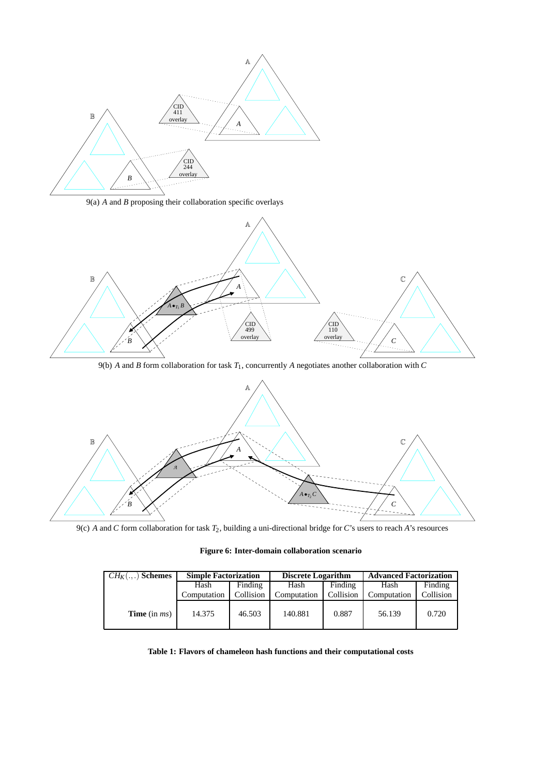<span id="page-7-1"></span>

9(a) *A* and *B* proposing their collaboration specific overlays



9(b) *A* and *B* form collaboration for task *T*1, concurrently *A* negotiates another collaboration with *C*

<span id="page-7-2"></span>

<span id="page-7-3"></span>9(c) *A* and *C* form collaboration for task *T*2, building a uni-directional bridge for *C*'s users to reach *A*'s resources

<span id="page-7-0"></span>

| $CH_K(.,.)$ Schemes    | <b>Simple Factorization</b> |           | <b>Discrete Logarithm</b> |           | <b>Advanced Factorization</b> |           |
|------------------------|-----------------------------|-----------|---------------------------|-----------|-------------------------------|-----------|
|                        | Finding<br>Hash             |           | Hash                      | Finding   | Hash                          | Finding   |
|                        | Computation                 | Collision | Computation               | Collision | Computation                   | Collision |
| <b>Time</b> (in $ms$ ) | 14.375                      | 46.503    | 140.881                   | 0.887     | 56.139                        | 0.720     |

<span id="page-7-4"></span>**Table 1: Flavors of chameleon hash functions and their computational costs**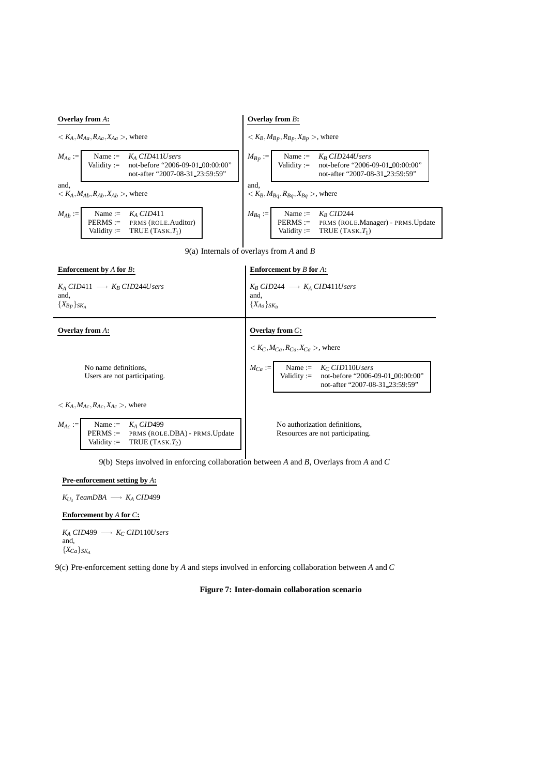<span id="page-8-0"></span>

9(a) Internals of overlays from *A* and *B*

<span id="page-8-1"></span>

| <b>Enforcement by A for B:</b>                                                                                                                                                  | <b>Enforcement</b> by $B$ for $A$ :                                                                                         |
|---------------------------------------------------------------------------------------------------------------------------------------------------------------------------------|-----------------------------------------------------------------------------------------------------------------------------|
| $K_A$ CID411 $\longrightarrow$ $K_B$ CID244U sers<br>and,<br>$\{X_{Bp}\}_{SK_A}$                                                                                                | $K_R$ CID244 $\longrightarrow K_A$ CID411U sers<br>and,<br>${X_{Aa}}_{SK_B}$                                                |
| <b>Overlay from A:</b>                                                                                                                                                          | Overlay from $C$ :                                                                                                          |
|                                                                                                                                                                                 | $K_C, M_{Ca}, R_{Ca}, X_{Ca} >$ , where                                                                                     |
| No name definitions,<br>Users are not participating.                                                                                                                            | $M_{Ca} :=$ Name := $K_C \, CID110Users$<br>Validity := not-before "2006-09-01_00:00:00"<br>not-after "2007-08-31_23:59:59" |
| $K_A, M_{A_C}, R_{A_C}, X_{A_C}$ , where                                                                                                                                        |                                                                                                                             |
| $M_{Ac} := \frac{\text{Name}}{\text{DTDMS}} = \frac{K_A \text{CID499}}{K_A \text{CID499}}$<br>PERMS := PRMS (ROLE.DBA) - PRMS.Update<br>Validity := TRUE (TASK.T <sub>2</sub> ) | No authorization definitions,<br>Resources are not participating.                                                           |

9(b) Steps involved in enforcing collaboration between *A* and *B*, Overlays from *A* and *C*

#### <span id="page-8-2"></span>**Pre-enforcement setting by** *A***:**

 $K_{U_3}$  *TeamDBA*  $\longrightarrow$  *K<sub>A</sub> CID*499

**Enforcement by** *A* **for** *C***:**

 $K_A$  *CID*499  $\longrightarrow$   $K_C$  *CID*110*Users* and,  ${X_{Ca}}_{SK_A}$ 

9(c) Pre-enforcement setting done by *A* and steps involved in enforcing collaboration between *A* and *C*

**Figure 7: Inter-domain collaboration scenario**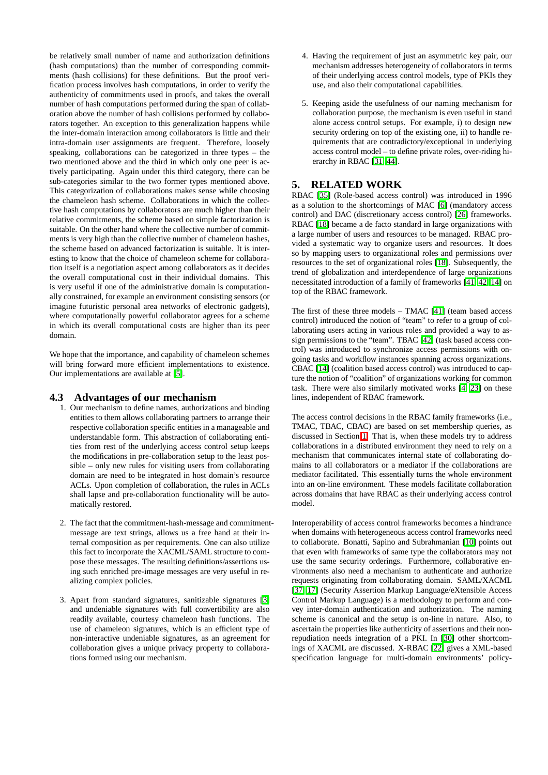be relatively small number of name and authorization definitions (hash computations) than the number of corresponding commitments (hash collisions) for these definitions. But the proof verification process involves hash computations, in order to verify the authenticity of commitments used in proofs, and takes the overall number of hash computations performed during the span of collaboration above the number of hash collisions performed by collaborators together. An exception to this generalization happens while the inter-domain interaction among collaborators is little and their intra-domain user assignments are frequent. Therefore, loosely speaking, collaborations can be categorized in three types – the two mentioned above and the third in which only one peer is actively participating. Again under this third category, there can be sub-categories similar to the two former types mentioned above. This categorization of collaborations makes sense while choosing the chameleon hash scheme. Collaborations in which the collective hash computations by collaborators are much higher than their relative commitments, the scheme based on simple factorization is suitable. On the other hand where the collective number of commitments is very high than the collective number of chameleon hashes, the scheme based on advanced factorization is suitable. It is interesting to know that the choice of chameleon scheme for collaboration itself is a negotiation aspect among collaborators as it decides the overall computational cost in their individual domains. This is very useful if one of the administrative domain is computationally constrained, for example an environment consisting sensors (or imagine futuristic personal area networks of electronic gadgets), where computationally powerful collaborator agrees for a scheme in which its overall computational costs are higher than its peer domain.

We hope that the importance, and capability of chameleon schemes will bring forward more efficient implementations to existence. Our implementations are available at [\[5\]](#page-10-12).

### **4.3 Advantages of our mechanism**

- 1. Our mechanism to define names, authorizations and binding entities to them allows collaborating partners to arrange their respective collaboration specific entities in a manageable and understandable form. This abstraction of collaborating entities from rest of the underlying access control setup keeps the modifications in pre-collaboration setup to the least possible – only new rules for visiting users from collaborating domain are need to be integrated in host domain's resource ACLs. Upon completion of collaboration, the rules in ACLs shall lapse and pre-collaboration functionality will be automatically restored.
- 2. The fact that the commitment-hash-message and commitmentmessage are text strings, allows us a free hand at their internal composition as per requirements. One can also utilize this fact to incorporate the XACML/SAML structure to compose these messages. The resulting definitions/assertions using such enriched pre-image messages are very useful in realizing complex policies.
- 3. Apart from standard signatures, sanitizable signatures [\[3\]](#page-10-13) and undeniable signatures with full convertibility are also readily available, courtesy chameleon hash functions. The use of chameleon signatures, which is an efficient type of non-interactive undeniable signatures, as an agreement for collaboration gives a unique privacy property to collaborations formed using our mechanism.
- 4. Having the requirement of just an asymmetric key pair, our mechanism addresses heterogeneity of collaborators in terms of their underlying access control models, type of PKIs they use, and also their computational capabilities.
- 5. Keeping aside the usefulness of our naming mechanism for collaboration purpose, the mechanism is even useful in stand alone access control setups. For example, i) to design new security ordering on top of the existing one, ii) to handle requirements that are contradictory/exceptional in underlying access control model – to define private roles, over-riding hierarchy in RBAC [\[31,](#page-11-8) [44\]](#page-11-21).

## <span id="page-9-0"></span>**5. RELATED WORK**

RBAC [\[35\]](#page-11-22) (Role-based access control) was introduced in 1996 as a solution to the shortcomings of MAC [\[6\]](#page-10-4) (mandatory access control) and DAC (discretionary access control) [\[26\]](#page-11-6) frameworks. RBAC [\[18\]](#page-11-7) became a de facto standard in large organizations with a large number of users and resources to be managed. RBAC provided a systematic way to organize users and resources. It does so by mapping users to organizational roles and permissions over resources to the set of organizational roles [\[18\]](#page-11-7). Subsequently, the trend of globalization and interdependence of large organizations necessitated introduction of a family of frameworks [\[41,](#page-11-0) [42,](#page-11-1) [14\]](#page-10-0) on top of the RBAC framework.

The first of these three models – TMAC [\[41\]](#page-11-0) (team based access control) introduced the notion of "team" to refer to a group of collaborating users acting in various roles and provided a way to as-sign permissions to the "team". TBAC [\[42\]](#page-11-1) (task based access control) was introduced to synchronize access permissions with ongoing tasks and workflow instances spanning across organizations. CBAC [\[14\]](#page-10-0) (coalition based access control) was introduced to capture the notion of "coalition" of organizations working for common task. There were also similarly motivated works [\[4,](#page-10-14) [23\]](#page-11-23) on these lines, independent of RBAC framework.

The access control decisions in the RBAC family frameworks (i.e., TMAC, TBAC, CBAC) are based on set membership queries, as discussed in Section [1.](#page-0-0) That is, when these models try to address collaborations in a distributed environment they need to rely on a mechanism that communicates internal state of collaborating domains to all collaborators or a mediator if the collaborations are mediator facilitated. This essentially turns the whole environment into an on-line environment. These models facilitate collaboration across domains that have RBAC as their underlying access control model.

Interoperability of access control frameworks becomes a hindrance when domains with heterogeneous access control frameworks need to collaborate. Bonatti, Sapino and Subrahmanian [\[10\]](#page-10-1) points out that even with frameworks of same type the collaborators may not use the same security orderings. Furthermore, collaborative environments also need a mechanism to authenticate and authorize requests originating from collaborating domain. SAML/XACML [\[37,](#page-11-24) [17\]](#page-11-25) (Security Assertion Markup Language/eXtensible Access Control Markup Language) is a methodology to perform and convey inter-domain authentication and authorization. The naming scheme is canonical and the setup is on-line in nature. Also, to ascertain the properties like authenticity of assertions and their nonrepudiation needs integration of a PKI. In [\[30\]](#page-11-26) other shortcomings of XACML are discussed. X-RBAC [\[22\]](#page-11-13) gives a XML-based specification language for multi-domain environments' policy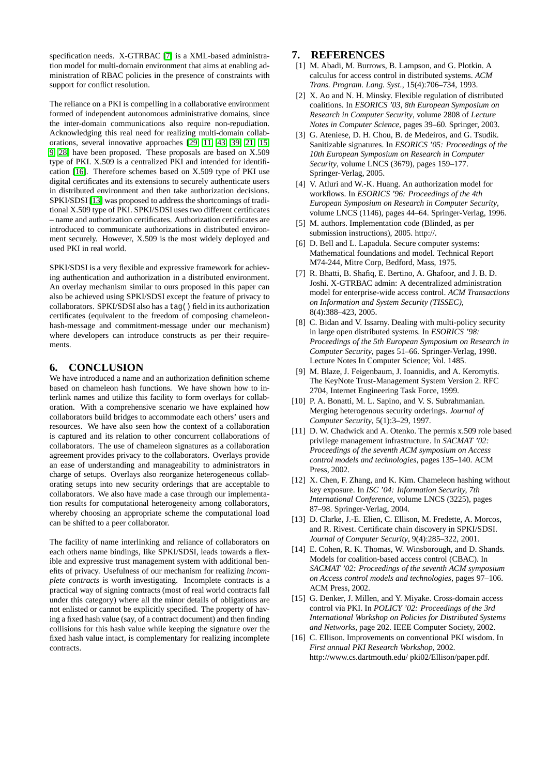specification needs. X-GTRBAC [\[7\]](#page-10-15) is a XML-based administration model for multi-domain environment that aims at enabling administration of RBAC policies in the presence of constraints with support for conflict resolution.

The reliance on a PKI is compelling in a collaborative environment formed of independent autonomous administrative domains, since the inter-domain communications also require non-repudiation. Acknowledging this real need for realizing multi-domain collaborations, several innovative approaches [\[29,](#page-11-11) [11,](#page-10-2) [43,](#page-11-4) [39,](#page-11-10) [21,](#page-11-12) [15,](#page-10-3) [9,](#page-10-8) [28\]](#page-11-15) have been proposed. These proposals are based on X.509 type of PKI. X.509 is a centralized PKI and intended for identification [\[16\]](#page-10-16). Therefore schemes based on X.509 type of PKI use digital certificates and its extensions to securely authenticate users in distributed environment and then take authorization decisions. SPKI/SDSI [\[13\]](#page-10-9) was proposed to address the shortcomings of traditional X.509 type of PKI. SPKI/SDSI uses two different certificates – name and authorization certificates. Authorization certificates are introduced to communicate authorizations in distributed environment securely. However, X.509 is the most widely deployed and used PKI in real world.

SPKI/SDSI is a very flexible and expressive framework for achieving authentication and authorization in a distributed environment. An overlay mechanism similar to ours proposed in this paper can also be achieved using SPKI/SDSI except the feature of privacy to collaborators. SPKI/SDSI also has a tag() field in its authorization certificates (equivalent to the freedom of composing chameleonhash-message and commitment-message under our mechanism) where developers can introduce constructs as per their requirements.

## <span id="page-10-10"></span>**6. CONCLUSION**

We have introduced a name and an authorization definition scheme based on chameleon hash functions. We have shown how to interlink names and utilize this facility to form overlays for collaboration. With a comprehensive scenario we have explained how collaborators build bridges to accommodate each others' users and resources. We have also seen how the context of a collaboration is captured and its relation to other concurrent collaborations of collaborators. The use of chameleon signatures as a collaboration agreement provides privacy to the collaborators. Overlays provide an ease of understanding and manageability to administrators in charge of setups. Overlays also reorganize heterogeneous collaborating setups into new security orderings that are acceptable to collaborators. We also have made a case through our implementation results for computational heterogeneity among collaborators, whereby choosing an appropriate scheme the computational load can be shifted to a peer collaborator.

The facility of name interlinking and reliance of collaborators on each others name bindings, like SPKI/SDSI, leads towards a flexible and expressive trust management system with additional benefits of privacy. Usefulness of our mechanism for realizing *incomplete contracts* is worth investigating. Incomplete contracts is a practical way of signing contracts (most of real world contracts fall under this category) where all the minor details of obligations are not enlisted or cannot be explicitly specified. The property of having a fixed hash value (say, of a contract document) and then finding collisions for this hash value while keeping the signature over the fixed hash value intact, is complementary for realizing incomplete contracts.

## <span id="page-10-5"></span>**7. REFERENCES**

- [1] M. Abadi, M. Burrows, B. Lampson, and G. Plotkin. A calculus for access control in distributed systems. *ACM Trans. Program. Lang. Syst.*, 15(4):706–734, 1993.
- <span id="page-10-6"></span>[2] X. Ao and N. H. Minsky. Flexible regulation of distributed coalitions. In *ESORICS '03, 8th European Symposium on Research in Computer Security*, volume 2808 of *Lecture Notes in Computer Science*, pages 39–60. Springer, 2003.
- <span id="page-10-13"></span>[3] G. Ateniese, D. H. Chou, B. de Medeiros, and G. Tsudik. Sanitizable signatures. In *ESORICS '05: Proceedings of the 10th European Symposium on Research in Computer Security*, volume LNCS (3679), pages 159–177. Springer-Verlag, 2005.
- <span id="page-10-14"></span>[4] V. Atluri and W.-K. Huang. An authorization model for workflows. In *ESORICS '96: Proceedings of the 4th European Symposium on Research in Computer Security*, volume LNCS (1146), pages 44–64. Springer-Verlag, 1996.
- <span id="page-10-12"></span>[5] M. authors. Implementation code (Blinded, as per submission instructions), 2005. http://.
- <span id="page-10-4"></span>[6] D. Bell and L. Lapadula. Secure computer systems: Mathematical foundations and model. Technical Report M74-244, Mitre Corp, Bedford, Mass, 1975.
- <span id="page-10-15"></span>[7] R. Bhatti, B. Shafiq, E. Bertino, A. Ghafoor, and J. B. D. Joshi. X-GTRBAC admin: A decentralized administration model for enterprise-wide access control. *ACM Transactions on Information and System Security (TISSEC)*, 8(4):388–423, 2005.
- <span id="page-10-7"></span>[8] C. Bidan and V. Issarny. Dealing with multi-policy security in large open distributed systems. In *ESORICS '98: Proceedings of the 5th European Symposium on Research in Computer Security*, pages 51–66. Springer-Verlag, 1998. Lecture Notes In Computer Science; Vol. 1485.
- <span id="page-10-8"></span>[9] M. Blaze, J. Feigenbaum, J. Ioannidis, and A. Keromytis. The KeyNote Trust-Management System Version 2. RFC 2704, Internet Engineering Task Force, 1999.
- <span id="page-10-1"></span>[10] P. A. Bonatti, M. L. Sapino, and V. S. Subrahmanian. Merging heterogenous security orderings. *Journal of Computer Security*, 5(1):3–29, 1997.
- <span id="page-10-2"></span>[11] D. W. Chadwick and A. Otenko. The permis x.509 role based privilege management infrastructure. In *SACMAT '02: Proceedings of the seventh ACM symposium on Access control models and technologies*, pages 135–140. ACM Press, 2002.
- <span id="page-10-11"></span>[12] X. Chen, F. Zhang, and K. Kim. Chameleon hashing without key exposure. In *ISC '04: Information Security, 7th International Conference*, volume LNCS (3225), pages 87–98. Springer-Verlag, 2004.
- <span id="page-10-9"></span>[13] D. Clarke, J.-E. Elien, C. Ellison, M. Fredette, A. Morcos, and R. Rivest. Certificate chain discovery in SPKI/SDSI. *Journal of Computer Security*, 9(4):285–322, 2001.
- <span id="page-10-0"></span>[14] E. Cohen, R. K. Thomas, W. Winsborough, and D. Shands. Models for coalition-based access control (CBAC). In *SACMAT '02: Proceedings of the seventh ACM symposium on Access control models and technologies*, pages 97–106. ACM Press, 2002.
- <span id="page-10-3"></span>[15] G. Denker, J. Millen, and Y. Miyake. Cross-domain access control via PKI. In *POLICY '02: Proceedings of the 3rd International Workshop on Policies for Distributed Systems and Networks*, page 202. IEEE Computer Society, 2002.
- <span id="page-10-16"></span>[16] C. Ellison. Improvements on conventional PKI wisdom. In *First annual PKI Research Workshop*, 2002. http://www.cs.dartmouth.edu/ pki02/Ellison/paper.pdf.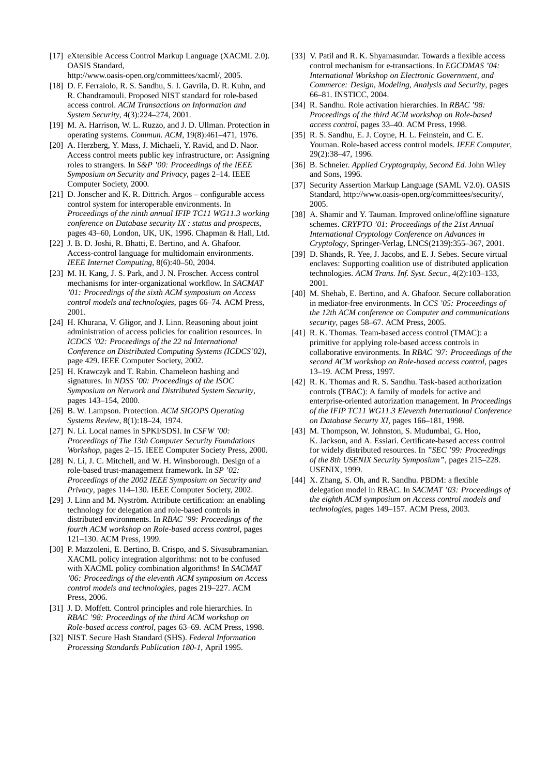- <span id="page-11-25"></span>[17] eXtensible Access Control Markup Language (XACML 2.0). OASIS Standard,
	- http://www.oasis-open.org/committees/xacml/, 2005.
- <span id="page-11-7"></span>[18] D. F. Ferraiolo, R. S. Sandhu, S. I. Gavrila, D. R. Kuhn, and R. Chandramouli. Proposed NIST standard for role-based access control. *ACM Transactions on Information and System Security*, 4(3):224–274, 2001.
- <span id="page-11-5"></span>[19] M. A. Harrison, W. L. Ruzzo, and J. D. Ullman. Protection in operating systems. *Commun. ACM*, 19(8):461–471, 1976.
- <span id="page-11-2"></span>[20] A. Herzberg, Y. Mass, J. Michaeli, Y. Ravid, and D. Naor. Access control meets public key infrastructure, or: Assigning roles to strangers. In *S&P '00: Proceedings of the IEEE Symposium on Security and Privacy*, pages 2–14. IEEE Computer Society, 2000.
- <span id="page-11-12"></span>[21] D. Jonscher and K. R. Dittrich. Argos – configurable access control system for interoperable environments. In *Proceedings of the ninth annual IFIP TC11 WG11.3 working conference on Database security IX : status and prospects*, pages 43–60, London, UK, UK, 1996. Chapman & Hall, Ltd.
- <span id="page-11-13"></span>[22] J. B. D. Joshi, R. Bhatti, E. Bertino, and A. Ghafoor. Access-control language for multidomain environments. *IEEE Internet Computing*, 8(6):40–50, 2004.
- <span id="page-11-23"></span>[23] M. H. Kang, J. S. Park, and J. N. Froscher. Access control mechanisms for inter-organizational workflow. In *SACMAT '01: Proceedings of the sixth ACM symposium on Access control models and technologies*, pages 66–74. ACM Press, 2001.
- <span id="page-11-3"></span>[24] H. Khurana, V. Gligor, and J. Linn. Reasoning about joint administration of access policies for coalition resources. In *ICDCS '02: Proceedings of the 22 nd International Conference on Distributed Computing Systems (ICDCS'02)*, page 429. IEEE Computer Society, 2002.
- <span id="page-11-16"></span>[25] H. Krawczyk and T. Rabin. Chameleon hashing and signatures. In *NDSS '00: Proceedings of the ISOC Symposium on Network and Distributed System Security*, pages 143–154, 2000.
- <span id="page-11-6"></span>[26] B. W. Lampson. Protection. *ACM SIGOPS Operating Systems Review*, 8(1):18–24, 1974.
- <span id="page-11-17"></span>[27] N. Li. Local names in SPKI/SDSI. In *CSFW '00: Proceedings of The 13th Computer Security Foundations Workshop*, pages 2–15. IEEE Computer Society Press, 2000.
- <span id="page-11-15"></span>[28] N. Li, J. C. Mitchell, and W. H. Winsborough. Design of a role-based trust-management framework. In *SP '02: Proceedings of the 2002 IEEE Symposium on Security and Privacy*, pages 114–130. IEEE Computer Society, 2002.
- <span id="page-11-11"></span>[29] J. Linn and M. Nyström. Attribute certification: an enabling technology for delegation and role-based controls in distributed environments. In *RBAC '99: Proceedings of the fourth ACM workshop on Role-based access control*, pages 121–130. ACM Press, 1999.
- <span id="page-11-26"></span>[30] P. Mazzoleni, E. Bertino, B. Crispo, and S. Sivasubramanian. XACML policy integration algorithms: not to be confused with XACML policy combination algorithms! In *SACMAT '06: Proceedings of the eleventh ACM symposium on Access control models and technologies*, pages 219–227. ACM Press, 2006.
- <span id="page-11-8"></span>[31] J. D. Moffett. Control principles and role hierarchies. In *RBAC '98: Proceedings of the third ACM workshop on Role-based access control*, pages 63–69. ACM Press, 1998.
- <span id="page-11-18"></span>[32] NIST. Secure Hash Standard (SHS). *Federal Information Processing Standards Publication 180-1*, April 1995.
- <span id="page-11-14"></span>[33] V. Patil and R. K. Shyamasundar. Towards a flexible access control mechanism for e-transactions. In *EGCDMAS '04: International Workshop on Electronic Government, and Commerce: Design, Modeling, Analysis and Security*, pages 66–81. INSTICC, 2004.
- <span id="page-11-9"></span>[34] R. Sandhu. Role activation hierarchies. In *RBAC '98: Proceedings of the third ACM workshop on Role-based access control*, pages 33–40. ACM Press, 1998.
- <span id="page-11-22"></span>[35] R. S. Sandhu, E. J. Covne, H. L. Feinstein, and C. E. Youman. Role-based access control models. *IEEE Computer*, 29(2):38–47, 1996.
- <span id="page-11-19"></span>[36] B. Schneier. *Applied Cryptography, Second Ed.* John Wiley and Sons, 1996.
- <span id="page-11-24"></span>[37] Security Assertion Markup Language (SAML V2.0). OASIS Standard, http://www.oasis-open.org/committees/security/, 2005.
- <span id="page-11-20"></span>[38] A. Shamir and Y. Tauman. Improved online/offline signature schemes. *CRYPTO '01: Proceedings of the 21st Annual International Cryptology Conference on Advances in Cryptology*, Springer-Verlag, LNCS(2139):355–367, 2001.
- <span id="page-11-10"></span>[39] D. Shands, R. Yee, J. Jacobs, and E. J. Sebes. Secure virtual enclaves: Supporting coalition use of distributed application technologies. *ACM Trans. Inf. Syst. Secur.*, 4(2):103–133, 2001.
- <span id="page-11-27"></span>[40] M. Shehab, E. Bertino, and A. Ghafoor. Secure collaboration in mediator-free environments. In *CCS '05: Proceedings of the 12th ACM conference on Computer and communications security*, pages 58–67. ACM Press, 2005.
- <span id="page-11-0"></span>[41] R. K. Thomas. Team-based access control (TMAC): a primitive for applying role-based access controls in collaborative environments. In *RBAC '97: Proceedings of the second ACM workshop on Role-based access control*, pages 13–19. ACM Press, 1997.
- <span id="page-11-1"></span>[42] R. K. Thomas and R. S. Sandhu. Task-based authorization controls (TBAC): A family of models for active and enterprise-oriented autorization management. In *Proceedings of the IFIP TC11 WG11.3 Eleventh International Conference on Database Securty XI*, pages 166–181, 1998.
- <span id="page-11-4"></span>[43] M. Thompson, W. Johnston, S. Mudumbai, G. Hoo, K. Jackson, and A. Essiari. Certificate-based access control for widely distributed resources. In *"SEC '99: Proceedings of the 8th USENIX Security Symposium"*, pages 215–228. USENIX, 1999.
- <span id="page-11-21"></span>[44] X. Zhang, S. Oh, and R. Sandhu. PBDM: a flexible delegation model in RBAC. In *SACMAT '03: Proceedings of the eighth ACM symposium on Access control models and technologies*, pages 149–157. ACM Press, 2003.